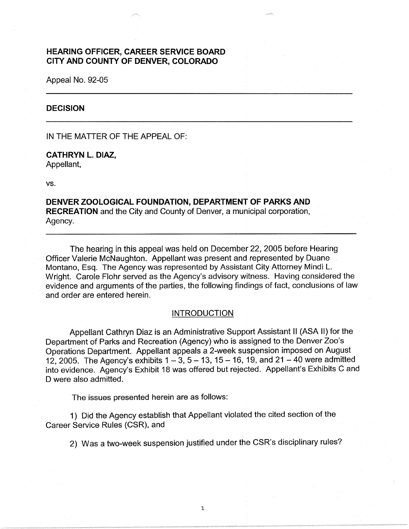# **HEARING OFFICER, CAREER SERVICE BOARD CITY AND COUNTY OF DENVER, COLORADO**

Appeal No. 92-05

### **DECISION**

IN THE MATTER OF THE APPEAL OF:

**CATHRYN L. DIAZ,**  Appellant,

vs.

**DENVER ZOOLOGICAL FOUNDATION, DEPARTMENT OF PARKS AND RECREATION** and the City and County of Denver, a municipal corporation, Agency.

The hearing in this appeal was held on December 22, 2005 before Hearing Officer Valerie McNaughton. Appellant was present and represented by Duane Montano, Esq. The Agency was represented by Assistant City Attorney Mindi L. Wright. Carole Flohr served as the Agency's advisory witness. Having considered the evidence and arguments of the parties, the following findings of fact, conclusions of law and order are entered herein.

## **INTRODUCTION**

Appellant Cathryn Diaz is an Administrative Support Assistant II (ASA II) for the Department of Parks and Recreation (Agency) who is assigned to the Denver Zoo's Operations Department. Appellant appeals a 2-week suspension imposed on August 12, 2005. The Agency's exhibits  $1 - 3$ ,  $5 - 13$ ,  $15 - 16$ , 19, and  $21 - 40$  were admitted into evidence. Agency's Exhibit 18 was offered but rejected. Appellant's Exhibits C and D were also admitted.

The issues presented herein are as follows:

1) Did the Agency establish that Appellant violated the cited section of the Career Service Rules (CSR), and

2) Was a two-week suspension justified under the CSR's disciplinary rules?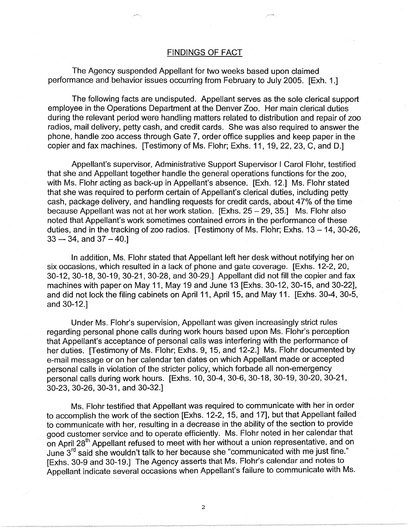## FINDINGS OF FACT

The Agency suspended Appellant for two weeks based upon claimed performance and behavior issues occurring from February to July 2005. [Exh. 1.]

The following facts are undisputed. Appellant serves as the sole clerical support employee in the Operations Department at the Denver Zoo. Her main clerical duties during the relevant period were handling matters related to distribution and repair of zoo radios, mail delivery, petty cash, and credit cards. She was also required to answer the phone, handle zoo access through Gate 7, order office supplies and keep paper in the copier and fax machines. [Testimony of Ms. Flohr; Exhs. 11, 19, 22, 23, C, and D.]

Appellant's supervisor, Administrative Support Supervisor I Carol Flohr, testified that she and Appellant together handle the general operations functions for the zoo, with Ms. Flohr acting as back-up in Appellant's absence. [Exh. 12.] Ms. Flohr stated that she was required to perform certain of Appellant's clerical duties, including petty cash, package delivery, and handling requests for credit cards, about 47% of the time because Appellant was not at her work station.  $[Exhs. 25 - 29, 35.]$  Ms. Flohr also noted that Appellant's work sometimes contained errors in the performance of these duties, and in the tracking of zoo radios. [Testimony of Ms. Flohr; Exhs.  $13 - 14$ ,  $30-26$ ,  $33 - 34$ , and  $37 - 40$ .

In addition, Ms. Flohr stated that Appellant left her desk without notifying her on six occasions, which resulted in a lack of phone and gate coverage. [Exhs. 12-2, 20, 30-12, 30-18, 30-19, 30-21, 30-28, and 30-29.] Appellant did not fill the copier and fax machines with paper on May 11, May 19 and June 13 [Exhs. 30-12, 30-15, and 30-22], and did not lock the filing cabinets on April 11, April 15, and May 11. [Exhs. 30-4, 30-5, and 30-12.]

Under Ms. Flohr's supervision, Appellant was given increasingly strict rules regarding personal phone calls during work hours based upon Ms. Flohr's perception that Appellant's acceptance of personal calls was interfering with the performance of her duties. [Testimony of Ms. Flohr; Exhs. 9, 15, and 12-2.] Ms. Flohr documented by e-mail message or on her calendar ten dates on which Appellant made or accepted personal calls in violation of the stricter policy, which forbade all non-emergency personal calls during work hours. [Exhs. 10, 30-4, 30-6, 30-18, 30-19, 30-20, 30-21, 30-23, 30-26, 30-31, and 30-32.]

Ms. Flohr testified that Appellant was required to communicate with her in order to accomplish the work of the section [Exhs. 12-2, 15, and 17], but that Appellant failed to communicate with her, resulting in a decrease in the ability of the section to provide good customer service and to operate efficiently. Ms. Flohr noted in her calendar that on April  $28<sup>th</sup>$  Appellant refused to meet with her without a union representative, and on June 3rd said she wouldn't talk to her because she "communicated with me just fine." [Exhs. 30-9 and 30-19.] The Agency asserts that Ms. Flohr's calendar and notes to Appellant indicate several occasions when Appellant's failure to communicate with Ms.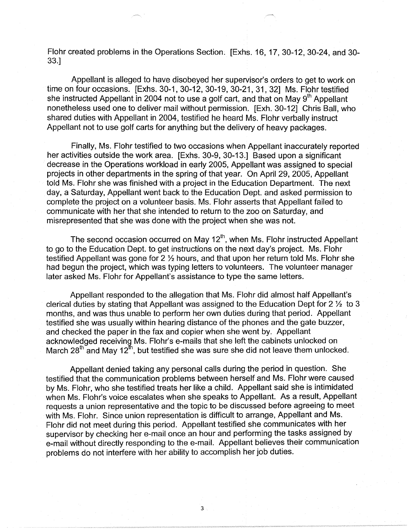Flohr created problems in the Operations Section; [Exhs. 16, 17, 30-12, 30-24, and 30- 33.]

Appellant is alleged to have disobeyed her supervisor's orders to get to work on time on four occasions. [Exhs. 30-1, 30-12, 30-19, 30-21, 31, 32] Ms. Flohr testified she instructed Appellant in 2004 not to use a golf cart, and that on May  $9<sup>th</sup>$  Appellant nonetheless used one to deliver mail without permission. [Exh. 30-12] Chris Ball, who shared duties with Appellant in 2004, testified he heard Ms. Flohr verbally instruct Appellant not to use golf carts for anything but the delivery of heavy packages.

Finally, Ms. Flohr testified to two occasions when Appellant inaccurately reported her activities outside the work area. [Exhs. 30-9, 30-13.] Based upon a significant decrease in the Operations workload in early 2005, Appellant was assigned to special projects in other departments in the spring of that year. On April 29, 2005, Appellant told Ms. Flohr she was finished with a project in the Education Department. The next day, a Saturday, Appellant went back to the Education Dept. and asked permission to complete the project on a volunteer basis. Ms. Flohr asserts that Appellant failed to communicate with her that she intended to return to the zoo on Saturday, and misrepresented that she was done with the project when she was not.

The second occasion occurred on May  $12<sup>th</sup>$ , when Ms. Flohr instructed Appellant to go to the Education Dept. to get instructions on the next day's project. Ms. Flohr testified Appellant was gone for 2 ½ hours, and that upon her return told Ms. Flohr she had begun the project, which was typing letters to volunteers. The volunteer manager later asked Ms. Flohr for Appellant's assistance to type the same letters.

Appellant responded to the allegation that Ms. Flohr did almost half Appellant's clerical duties by stating that Appellant was assigned to the Education Dept for 2 ½ to 3 months, and was thus unable to perform her own duties during that period. Appellant testified she was usually within hearing distance of the phones and the gate buzzer, and checked the paper in the fax and copier when she went by. Appellant acknowledged receiving Ms. Flohr's e-mails that she left the cabinets unlocked on March 28<sup>th</sup> and May 12<sup>th</sup>, but testified she was sure she did not leave them unlocked.

Appellant denied taking any personal calls during the period in question. She testified that the communication problems between herself and Ms. Flohr were caused by Ms. Flohr, who she testified treats her like a child. Appellant said she is intimidated when Ms. Flohr's voice escalates when she speaks to Appellant. As a result, Appellant requests a union representative and the topic to be discussed before agreeing to meet with Ms. Flohr. Since union representation is difficult to arrange, Appellant and Ms. Flohr did not meet during this period. Appellant testified she communicates with her supervisor by checking her e-mail once an hour and performing the tasks assigned by e-mail without directly responding to the e-mail. Appellant believes their communication problems do not interfere with her ability to accomplish her job duties.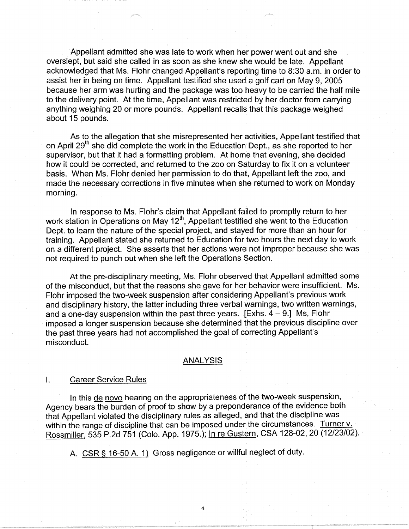Appellant admitted she was late to work when her power went out and she overslept, but said she called in as soon as she knew she would be late. Appellant acknowledged that Ms. Flohr changed Appellant's reporting time to 8:30 a.m. in order to assist her in being on time. Appellant testified she used a golf cart on May 9, 2005 because her arm was hurting and the package was too heavy to be carried the half mile to the delivery point. At the time, Appellant was restricted by her doctor from carrying anything weighing 20 or more pounds. Appellant recalls that this package weighed about 15 pounds.

As to the allegation that she misrepresented her activities, Appellant testified that on April 29<sup>th</sup> she did complete the work in the Education Dept., as she reported to her supervisor, but that it had a formatting problem. At home that evening, she decided how it could be corrected, and returned to the zoo on Saturday to fix it on a volunteer basis. When Ms. Flohr denied her permission to do that, Appellant left the zoo, and made the necessary corrections in five minutes when she returned to work on Monday morning.

In response to Ms. Flohr's claim that Appellant failed to promptly return to her work station in Operations on May  $12<sup>th</sup>$ , Appellant testified she went to the Education Dept. to learn the nature of the special project, and stayed for more than an hour for training. Appellant stated she returned to Education for two hours the next day to work on a different project. She asserts that her actions were not improper because she was not required to punch out when she left the Operations Section.

At the pre-disciplinary meeting, Ms. Flohr observed that Appellant admitted some of the misconduct, but that the reasons she gave for her behavior were insufficient. Ms. Flohr imposed the two-week suspension after considering Appellant's previous work and disciplinary history, the latter including three verbal warnings, two written warnings, and a one-day suspension within the past three years.  $[Exhs. 4 - 9]$  Ms, Flohr imposed a longer suspension because she determined that the previous discipline over the past three years had not accomplished the goal of correcting Appellant's misconduct.

### **ANALYSIS**

#### I. Career Service Rules

In this de novo hearing on the appropriateness of the two-week suspension, Agency bears the burden of proof to show by a preponderance of the evidence both that Appellant violated the disciplinary rules as alleged, and that the discipline was within the range of discipline that can be imposed under the circumstances. Turner v. Rossmiller, 535 P.2d 751 (Colo. App. 1975.); In re Gustern, CSA 128-02, 20 (12/23/02).

4

A. CSR § 16-50 A. 1) Gross negligence or willful neglect of duty.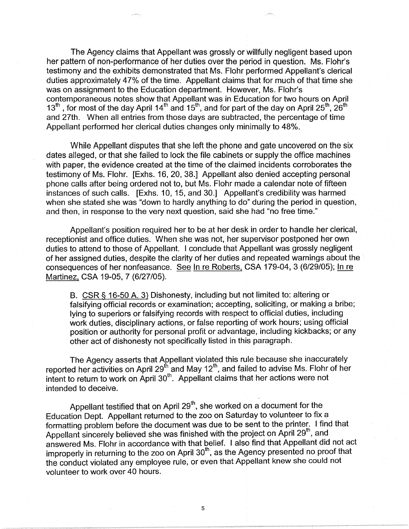The Agency claims that Appellant was grossly or willfully negligent based upon her pattern of non-performance of her duties over the period in question. Ms. Flohr's testimony and the exhibits demonstrated that Ms. Flohr performed Appellant's clerical duties approximately 47% of the time. Appellant claims that for much of that time she was on assignment to the Education department. However, Ms. Flohr's contemporaneous notes show that Appellant was in Education for two hours on April 13<sup>th</sup>, for most of the day April 14<sup>th</sup> and 15<sup>th</sup>, and for part of the day on April 25<sup>th</sup>, 26<sup>th</sup> and 27th. When all entries from those days are subtracted, the percentage of time Appellant performed her clerical duties changes only minimally to 48%.

While Appellant disputes that she left the phone and gate uncovered on the six dates alleged, or that she failed to lock the file cabinets or supply the office machines with paper, the evidence created at the time of the claimed incidents corroborates the testimony of Ms. Flohr. [Exhs. 16, 20, 38.] Appellant also denied accepting personal phone calls after being ordered not to, but Ms. Flohr made a calendar note of fifteen instances of such calls. [Exhs. 10, 15, and 30.] Appellant's credibility was harmed when she stated she was "down to hardly anything to do" during the period in question, and then, in response to the very next question, said she had "no free time."

Appellant's position required her to be at her desk in order to handle her clerical, receptionist and office duties. When she was not, her supervisor postponed her own duties to attend to those of Appellant. I conclude that Appellant was grossly negligent of her assigned duties, despite the clarity of her duties and repeated warnings about the consequences of her nonfeasance. See ln re Roberts, CSA 179-04, 3 (6/29/05); In re Martinez, CSA 19-05, 7 (6/27/05).

B. CSR § 16-50 A. 3) Dishonesty, including but not limited to: altering or falsifying official records or examination; accepting, soliciting, or making a bribe; lying to superiors or falsifying records with respect to official duties, including work duties, disciplinary actions, or false reporting of work hours; using official position or authority for personal profit or advantage, including kickbacks; or any other act of dishonesty not specifically listed in this paragraph.

The Agency asserts that Appellant violated this rule because she inaccurately reported her activities on April 29<sup>th</sup> and May 12<sup>th</sup>, and failed to advise Ms. Flohr of her intent to return to work on April  $30<sup>th</sup>$ . Appellant claims that her actions were not intended to deceive.

Appellant testified that on April  $29<sup>th</sup>$ , she worked on a document for the Education Dept. Appellant returned to the zoo on Saturday to volunteer to fix a formatting problem before the document was due to be sent to the printer. I find that Appellant sincerely believed she was finished with the project on April 29<sup>th</sup>, and answered Ms. Flohr in accordance with that belief. I also find that Appellant did not act improperly in returning to the zoo on April  $30<sup>th</sup>$ , as the Agency presented no proof that the conduct violated any employee rule, or even that Appellant knew she could not volunteer to work over 40 hours.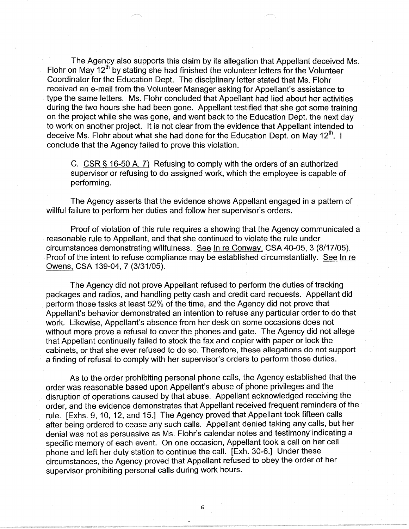The Agency also supports this claim by its allegation that Appellant deceived Ms. Flohr on May  $12<sup>th</sup>$  by stating she had finished the volunteer letters for the Volunteer Coordinator for the Education Dept. The disciplinary letter stated that Ms. Flohr received an e-mail from the Volunteer Manager asking for Appellant's assistance to type the same letters. Ms. Flohr concluded that Appellant had lied about her activities during the two hours she had been gone. Appellant testified that she got some training on the project while she was gone, and went back to the Education Dept. the next day to work on another project. It is not clear from the evidence that Appellant intended to deceive Ms. Flohr about what she had done for the Education Dept. on May  $12^{\text{th}}$ . I conclude that the Agency failed to prove this violation.

C. CSR § 16-50 A. 7) Refusing to comply with the orders of an authorized supervisor or refusing to do assigned work, which the employee is capable of performing.

The Agency asserts that the evidence shows Appellant engaged in a pattern of willful failure to perform her duties and follow her supervisor's orders.

Proof of violation of this rule requires a showing that the Agency communicated a reasonable rule to Appellant, and that she continued to violate the rule under circumstances demonstrating willfulness. See In re Conway, CSA 40-05, 3 (8/17/05). Proof of the intent to refuse compliance may be established circumstantially. See In re Owens, CSA 139-04, 7 (3/31/05).

The Agency did not prove Appellant refused to perform the duties of tracking packages and radios, and handling petty cash and credit card requests. Appellant did perform those tasks at least 52% of the time, and the Agency did not prove that Appellant's behavior demonstrated an intention to refuse any particular order to do that work. Likewise, Appellant's absence from her desk on some occasions does not without more prove a refusal to cover the phones and gate. The Agency did not allege that Appellant continually failed to stock the fax and copier with paper or lock the cabinets, or that she ever refused to do so. Therefore, these allegations do not support a finding of refusal to comply with her supervisor's orders to perform those duties.

As to the order prohibiting personal phone calls, the Agency established that the order was reasonable based upon Appellant's abuse of phone privileges and the disruption of operations caused by that abuse. Appellant acknowledged receiving the order, and the evidence demonstrates that Appellant received frequent reminders of the rule. [Exhs. 9, 10, 12, and 15.] The Agency proved that Appellant took fifteen calls after being ordered to cease any such calls. Appellant denied taking any calls, but her denial was not as persuasive as Ms. Flohr's calendar notes and testimony indicating a specific memory of each event. On one occasion, Appellant took a call on her cell phone and left her duty station to continue the call. [Exh. 30-6.] Under these circumstances, the Agency proved that Appellant refused to obey the order of her supervisor prohibiting personal calls during work hours.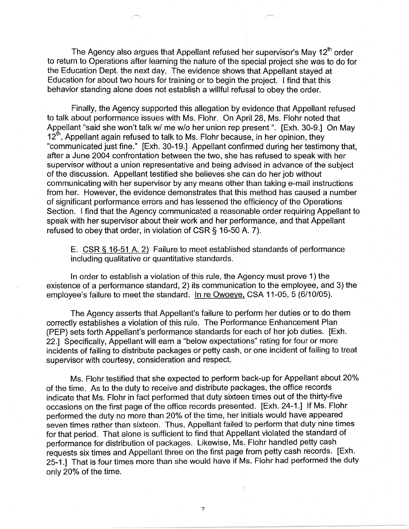The Agency also argues that Appellant refused her supervisor's May 12<sup>th</sup> order to return to Operations after learning the nature of the special project she was to do for the Education Dept. the next day. The evidence shows that Appellant stayed at Education for about two hours for training or to begin the project. I find that this behavior standing alone does not establish a willful refusal to obey the order.

Finally, the Agency supported this allegation by evidence that Appellant refused to talk about performance issues with Ms. Flohr. On April 28, Ms. Flohr noted that Appellant "said she won't talk w/ me w/o her union rep present ". [Exh. 30-9.] On May 12<sup>th</sup>, Appellant again refused to talk to Ms. Flohr because, in her opinion, they "communicated just fine." [Exh. 30-19.] Appellant confirmed during her testimony that, after a June 2004 confrontation between the two, she has refused to speak with her supervisor without a union representative and being advised in advance of the subject of the discussion. Appellant testified she believes she can do her job without communicating with her supervisor by any means other than taking e-mail instructions from her. However, the evidence demonstrates that this method has caused a number of significant performance errors and has lessened the efficiency of the Operations Section. I find that the Agency communicated a reasonable order requiring Appellant to speak with her supervisor about their work and her performance, and that Appellant refused to obey that order, in violation of CSR § 16-50 A. 7).

E. CSR § 16-51 A. 2) Failure to meet established standards of performance including qualitative or quantitative standards.

In order to establish a violation of this rule, the Agency must prove 1) the existence of a performance standard, 2) its communication to the employee, and 3) the employee's failure to meet the standard. In re Owoeye, CSA 11-05, 5 (6/10/05).

The Agency asserts that Appellant's failure to perform her duties or to do them correctly establishes a violation of this rule. The Performance Enhancement Plan (PEP) sets forth Appellant's performance standards for each of her job duties. [Exh. 22.] Specifically, Appellant will earn a "below expectations" rating for four or more incidents of failing to distribute packages or petty cash, or one incident of failing to treat supervisor with courtesy, consideration and respect.

Ms. Flohr testified that she expected to perform back-up for Appellant about 20% of the time. As to the duty to receive and distribute packages, the office records indicate that Ms. Flohr in fact performed that duty sixteen times out of the thirty-five occasions on the first page of the office records presented. [Exh. 24-1.] If Ms. Flohr performed the duty no more than 20% of the time, her initials would have appeared seven times rather than sixteen. Thus, Appellant failed to perform that duty nine times for that period. That alone is sufficient to find that Appellant violated the standard of performance for distribution of packages. Likewise, Ms. Flohr handled petty cash requests six times and Appellant three on the first page from petty cash records. [Exh. 25-1.] That is four times more than she would have if Ms. Flohr had performed the duty only 20% of the time.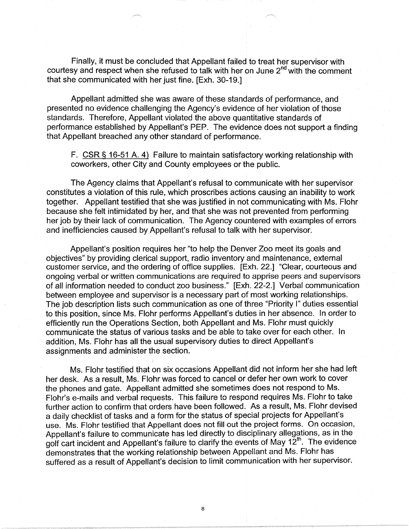Finally, it must be concluded that Appellant failed to treat her supervisor with courtesy and respect when she refused to talk with her on June  $2<sup>nd</sup>$  with the comment that she communicated with her just fine. [Exh. 30-19.]

Appellant admitted she was aware of these standards of performance, and presented no evidence challenging the Agency's evidence of her violation of those standards. Therefore, Appellant violated the above quantitative standards of performance established by Appellant's PEP. The evidence does not support a finding that Appellant breached any other standard of performance.

F. CSR§ 16-51 A. 4) Failure to maintain satisfactory working relationship with coworkers, other City and County employees or the public.

The Agency claims that Appellant's refusal to communicate with her supervisor constitutes a violation of this rule, which proscribes actions causing an inability to work together. Appellant testified that she was justified in not communicating with Ms. Flohr because she felt intimidated by her, and that she was not prevented from performing her job by their lack of communication. The Agency countered with examples of errors and inefficiencies caused by Appellant's refusal to talk with her supervisor.

Appellant's position requires her "to help the Denver Zoo meet its goals and objectives" by providing clerical support, radio inventory and maintenance, external customer service, and the ordering of office supplies, [Exh. 22.] "Clear, courteous and ongoing verbal or written communications are required to apprise peers and supervisors of all information needed to conduct zoo business." [Exh. 22-2.] Verbal communication between employee and supervisor is a necessary part of most working relationships. The job description lists such communication as one of three "Priority I" duties essential to this position, since Ms. Flohr performs Appellant's duties in her absence. In order to efficiently run the Operations Section, both Appellant and Ms. Flohr must quickly communicate the status of various tasks and be able to take over for each other. In addition, Ms. Flohr has all the usual supervisory duties to direct Appellant's assignments and administer the section.

Ms. Flohr testified that on six occasions Appellant did not inform her she had left her desk. As a result, Ms. Flohr was forced to cancel or defer her own work to cover the phones and gate. Appellant admitted she sometimes does not respond to Ms. Flohr's e-mails and verbal requests. This failure to respond requires Ms. Flohr to take further action to confirm that orders have been followed. As a result, Ms. Flohr devised a daily checklist of tasks and a form for the status of special projects for Appellant's use. Ms. Flohr testified that Appellant does not fill out the project forms. On occasion, Appellant's failure to communicate has led directly to disciplinary allegations, as in the golf cart incident and Appellant's failure to clarify the events of May  $12<sup>th</sup>$ . The evidence demonstrates that the working relationship between Appellant and Ms. Flohr has suffered as a result of Appellant's decision to limit communication with her supervisor.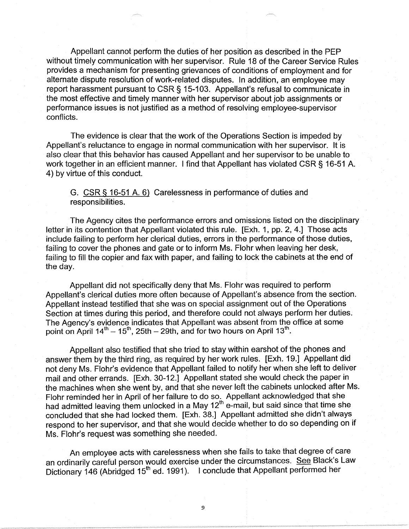Appellant cannot perform the duties of her position as described in the PEP without timely communication with her supervisor. Rule 18 of the Career Service Rules provides a mechanism for presenting grievances of conditions of employment and for alternate dispute resolution of work-related disputes. In addition, an employee may report harassment pursuant to CSR§ 15-103. Appellant's refusal to communicate in the most effective and timely manner with her supervisor about job assignments or performance issues is not justified as a method of resolving employee-supervisor conflicts.

The evidence is clear that the work of the Operations Section is impeded by Appellant's reluctance to engage in normal communication with her supervisor. It is also clear that this behavior has caused Appellant and her supervisor to be unable to work together in an efficient manner. I find that Appellant has violated CSR § 16-51 A. 4) by virtue of this conduct.

G. CSR§ 16-51 A. 6) Carelessness in performance of duties and responsibilities.

The Agency cites the performance errors and omissions listed on the disciplinary letter in its contention that Appellant violated this rule. [Exh. 1, pp. 2, 4.] Those acts include failing to perform her clerical duties, errors in the performance of those duties, failing to cover the phones and gate or to inform Ms. Flohr when leaving her desk, failing to fill the copier and fax with paper, and failing to lock the cabinets at the end of the day.

Appellant did not specifically deny that Ms. Flohr was required to perform Appellant's clerical duties more often because of Appellant's absence from the section. Appellant instead testified that she was on special assignment out of the Operations Section at times during this period, and therefore could not always perform her duties. The Agency's evidence indicates that Appellant was absent from the office at some point on April  $14^{th} - 15^{th}$ , 25th - 29th, and for two hours on April 13<sup>th</sup>.

Appellant also testified that she tried to stay within earshot of the phones and answer them by the third ring, as required by her work rules. [Exh. 19.] Appellant did not deny Ms. Flohr's evidence that Appellant failed to notify her when she left to deliver mail and other errands. [Exh. 30-12.] Appellant stated she would check the paper in the machines when she went by, and that she never left the cabinets unlocked after Ms. Flohr reminded her in April of her failure to do so. Appellant acknowledged that she had admitted leaving them unlocked in a May  $12<sup>th</sup>$  e-mail, but said since that time she concluded that she had locked them. [Exh. 38.] Appellant admitted she didn't always respond to her supervisor, and that she would decide whether to do so depending on if Ms. Flohr's request was something she needed.

An employee acts with carelessness when she fails to take that degree of care an ordinarily careful person would exercise under the circumstances. See Black's Law Dictionary 146 (Abridged 15<sup>th</sup> ed. 1991). I conclude that Appellant performed her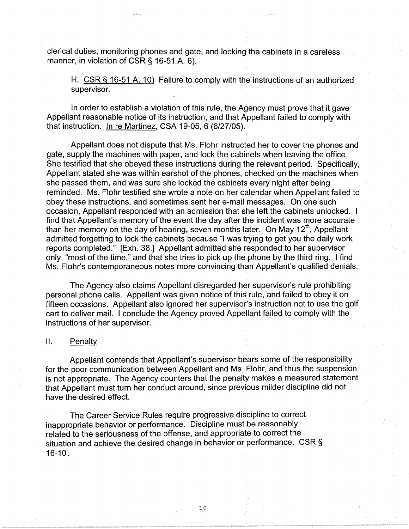clerical duties, monitoring phones and gate, and locking the cabinets in a careless manner, in violation of CSR § 16-51 A. 6).

H. CSR § 16-51 A. 10) Failure to comply with the instructions of an authorized supervisor.

In order to establish a violation of this rule, the Agency must prove that it gave Appellant reasonable notice of its instruction, and that Appellant failed to comply with that instruction. In re Martinez, CSA 19-05, 6 (6/27/05).

Appellant does not dispute that Ms. Flohr instructed her to cover the phones and gate, supply the machines with paper, and lock the cabinets when leaving the office. She testified that she obeyed these instructions during the relevant period. Specifically, Appellant stated she was within earshot of the phones, checked on the machines when she passed them, and was sure she locked the cabinets every night after being reminded. Ms. Flohr testified she wrote a note on her calendar when Appellant failed to obey these instructions, and sometimes sent her e-mail messages. On one such occasion, Appellant responded with an admission that she left the cabinets unlocked. I find that Appellant's memory of the event the day after the incident was more accurate than her memory on the day of hearing, seven months later. On May  $12^{th}$ , Appellant admitted forgetting to lock the cabinets because "I was trying to get you the daily work reports completed." [Exh. 38.] Appellant admitted she responded to her supervisor only "most of the time," and that she tries to pick up the phone by the third ring. I find Ms. Flohr's contemporaneous notes more convincing than Appellant's qualified denials.

The Agency also claims Appellant disregarded her supervisor's rule prohibiting personal phone calls. Appellant was given notice of this rule, and failed to obey it on fifteen occasions. Appellant also ignored her supervisor's instruction not to use the golf cart to deliver mail. I conclude the Agency proved Appellant failed to comply with the instructions of her supervisor.

### 11. Penalty

Appellant contends that Appellant's supervisor bears some of the responsibility for the poor communication between Appellant and Ms. Flohr, and thus the suspension is not appropriate. The Agency counters that the penalty makes a measured statement that Appellant must turn her conduct around, since previous milder discipline did not have the desired effect.

The Career Service Rules require progressive discipline to correct inappropriate behavior or performance. Discipline must be reasonably related to the seriousness of the offense, and appropriate to correct the situation and achieve the desired change in behavior or performance. CSR § 16-10.